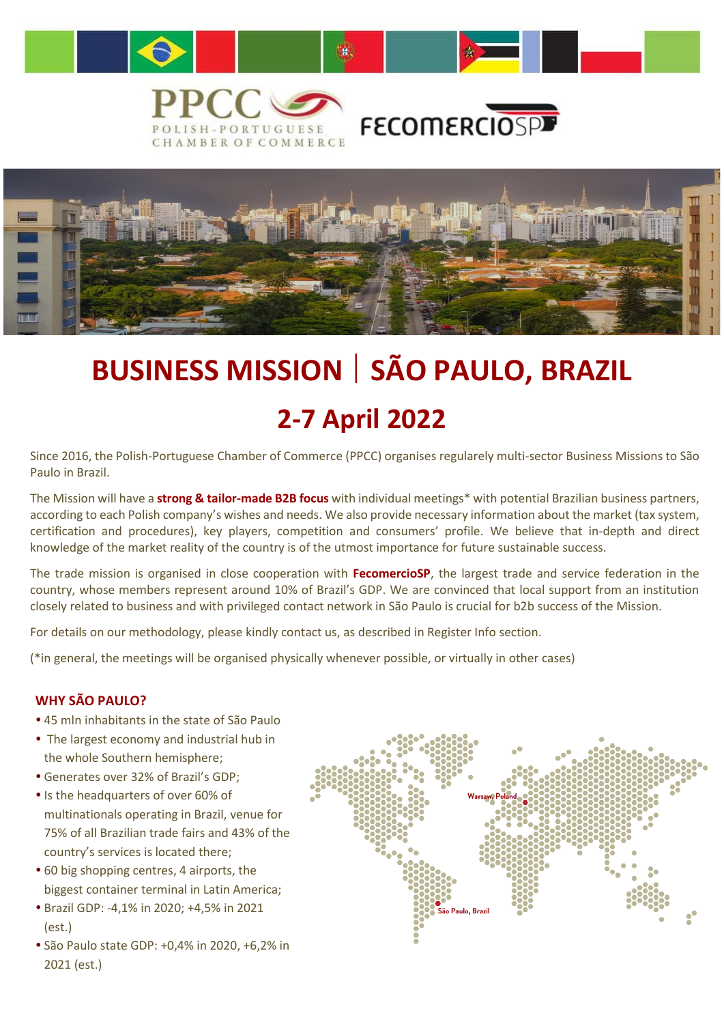

# **BUSINESS MISSION** | **SÃO PAULO, BRAZIL 2-7 April 2022**

Since 2016, the Polish-Portuguese Chamber of Commerce (PPCC) organises regularely multi-sector Business Missions to São Paulo in Brazil.

 certification and procedures), key players, competition and consumers' profile. We believe that in-depth and direct The Mission will have a **strong & tailor-made B2B focus** with individual meetings\* with potential Brazilian business partners, according to each Polish company's wishes and needs. We also provide necessary information about the market (tax system, knowledge of the market reality of the country is of the utmost importance for future sustainable success.

The trade mission is organised in close cooperation with **FecomercioSP**, the largest trade and service federation in the country, whose members represent around 10% of Brazil's GDP. We are convinced that local support from an institution closely related to business and with privileged contact network in São Paulo is crucial for b2b success of the Mission.

For details on our methodology, please kindly contact us, as described in Register Info section.

(\*in general, the meetings will be organised physically whenever possible, or virtually in other cases)

#### **WHY SÃO PAULO?**

- 45 mln inhabitants in the state of São Paulo
- The largest economy and industrial hub in the whole Southern hemisphere;
- Generates over 32% of Brazil's GDP;
- Is the headquarters of over 60% of multinationals operating in Brazil, venue for 75% of all Brazilian trade fairs and 43% of the country's services is located there;
- 60 big shopping centres, 4 airports, the biggest container terminal in Latin America;
- Brazil GDP: -4,1% in 2020; +4,5% in 2021 (est.)
- São Paulo state GDP: +0,4% in 2020, +6,2% in 2021 (est.)